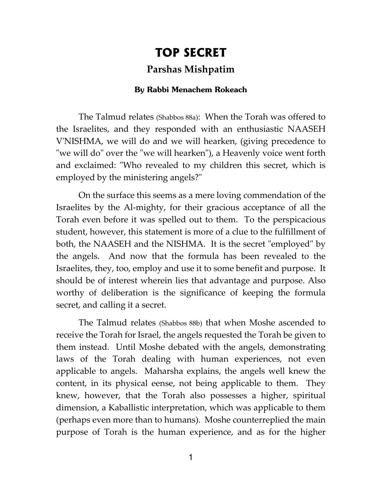## **TOP SECRET Parshas Mishpatim**

## **By Rabbi Menachem Rokeach**

The Talmud relates (Shabbos 88a): When the Torah was offered to the Israelites, and they responded with an enthusiastic NAASEH V'NISHMA, we will do and we will hearken, (giving precedence to "we will do" over the "we will hearken"), a Heavenly voice went forth and exclaimed: "Who revealed to my children this secret, which is employed by the ministering angels?"

On the surface this seems as a mere loving commendation of the Israelites by the Al-mighty, for their gracious acceptance of all the Torah even before it was spelled out to them. To the perspicacious student, however, this statement is more of a clue to the fulfillment of both, the NAASEH and the NISHMA. It is the secret "employed" by the angels. And now that the formula has been revealed to the Israelites, they, too, employ and use it to some benefit and purpose. It should be of interest wherein lies that advantage and purpose. Also worthy of deliberation is the significance of keeping the formula secret, and calling it a secret.

The Talmud relates (Shabbos 88b) that when Moshe ascended to receive the Torah for Israel, the angels requested the Torah be given to them instead. Until Moshe debated with the angels, demonstrating laws of the Torah dealing with human experiences, not even applicable to angels. Maharsha explains, the angels well knew the content, in its physical eense, not being applicable to them. They knew, however, that the Torah also possesses a higher, spiritual dimension, a Kaballistic interpretation, which was applicable to them (perhaps even more than to humans). Moshe counterreplied the main purpose of Torah is the human experience, and as for the higher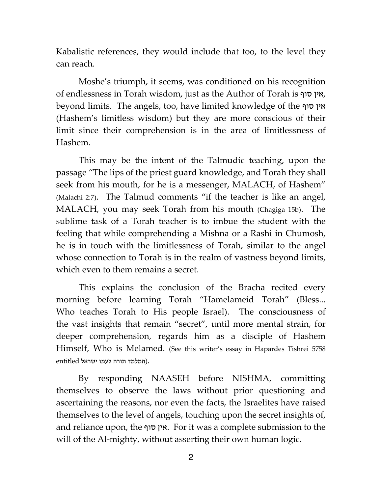Kabalistic references, they would include that too, to the level they can reach.

Moshe's triumph, it seems, was conditioned on his recognition of endlessness in Torah wisdom, just as the Author of Torah is סוף ןיא , beyond limits. The angels, too, have limited knowledge of the סוף אין (Hashem's limitless wisdom) but they are more conscious of their limit since their comprehension is in the area of limitlessness of Hashem.

This may be the intent of the Talmudic teaching, upon the passage "The lips of the priest guard knowledge, and Torah they shall seek from his mouth, for he is a messenger, MALACH, of Hashem" (Malachi 2:7). The Talmud comments "if the teacher is like an angel, MALACH, you may seek Torah from his mouth (Chagiga 15b). The sublime task of a Torah teacher is to imbue the student with the feeling that while comprehending a Mishna or a Rashi in Chumosh, he is in touch with the limitlessness of Torah, similar to the angel whose connection to Torah is in the realm of vastness beyond limits, which even to them remains a secret.

This explains the conclusion of the Bracha recited every morning before learning Torah "Hamelameid Torah" (Bless... Who teaches Torah to His people Israel). The consciousness of the vast insights that remain "secret", until more mental strain, for deeper comprehension, regards him as a disciple of Hashem Himself, Who is Melamed. (See this writer's essay in Hapardes Tishrei 5758 .(המלמד תורה לעמו ישראל entitled

By responding NAASEH before NISHMA, committing themselves to observe the laws without prior questioning and ascertaining the reasons, nor even the facts, the Israelites have raised themselves to the level of angels, touching upon the secret insights of, and reliance upon, the אין סוף. For it was a complete submission to the will of the Al-mighty, without asserting their own human logic.